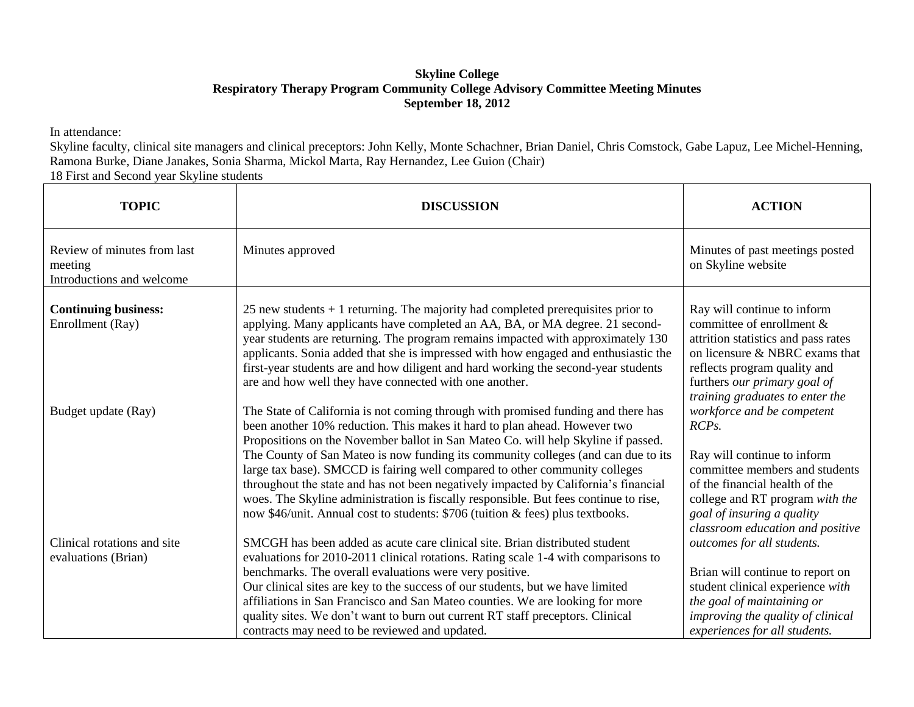## **Skyline College Respiratory Therapy Program Community College Advisory Committee Meeting Minutes September 18, 2012**

In attendance:

Skyline faculty, clinical site managers and clinical preceptors: John Kelly, Monte Schachner, Brian Daniel, Chris Comstock, Gabe Lapuz, Lee Michel-Henning, Ramona Burke, Diane Janakes, Sonia Sharma, Mickol Marta, Ray Hernandez, Lee Guion (Chair)

18 First and Second year Skyline students

| <b>TOPIC</b>                                                        | <b>DISCUSSION</b>                                                                                                                                                                                                                                                                                                                                                                                                                                                                                                                                                                                                                                                                        | <b>ACTION</b>                                                                                                                                                                                                                                            |
|---------------------------------------------------------------------|------------------------------------------------------------------------------------------------------------------------------------------------------------------------------------------------------------------------------------------------------------------------------------------------------------------------------------------------------------------------------------------------------------------------------------------------------------------------------------------------------------------------------------------------------------------------------------------------------------------------------------------------------------------------------------------|----------------------------------------------------------------------------------------------------------------------------------------------------------------------------------------------------------------------------------------------------------|
| Review of minutes from last<br>meeting<br>Introductions and welcome | Minutes approved                                                                                                                                                                                                                                                                                                                                                                                                                                                                                                                                                                                                                                                                         | Minutes of past meetings posted<br>on Skyline website                                                                                                                                                                                                    |
| <b>Continuing business:</b><br>Enrollment (Ray)                     | 25 new students $+1$ returning. The majority had completed prerequisites prior to<br>applying. Many applicants have completed an AA, BA, or MA degree. 21 second-<br>year students are returning. The program remains impacted with approximately 130<br>applicants. Sonia added that she is impressed with how engaged and enthusiastic the<br>first-year students are and how diligent and hard working the second-year students<br>are and how well they have connected with one another.                                                                                                                                                                                             | Ray will continue to inform<br>committee of enrollment $\&$<br>attrition statistics and pass rates<br>on licensure & NBRC exams that<br>reflects program quality and<br>furthers our primary goal of<br>training graduates to enter the                  |
| Budget update (Ray)                                                 | The State of California is not coming through with promised funding and there has<br>been another 10% reduction. This makes it hard to plan ahead. However two<br>Propositions on the November ballot in San Mateo Co. will help Skyline if passed.<br>The County of San Mateo is now funding its community colleges (and can due to its<br>large tax base). SMCCD is fairing well compared to other community colleges<br>throughout the state and has not been negatively impacted by California's financial<br>woes. The Skyline administration is fiscally responsible. But fees continue to rise,<br>now \$46/unit. Annual cost to students: \$706 (tuition & fees) plus textbooks. | workforce and be competent<br>RCP <sub>s</sub> .<br>Ray will continue to inform<br>committee members and students<br>of the financial health of the<br>college and RT program with the<br>goal of insuring a quality<br>classroom education and positive |
| Clinical rotations and site<br>evaluations (Brian)                  | SMCGH has been added as acute care clinical site. Brian distributed student<br>evaluations for 2010-2011 clinical rotations. Rating scale 1-4 with comparisons to<br>benchmarks. The overall evaluations were very positive.<br>Our clinical sites are key to the success of our students, but we have limited<br>affiliations in San Francisco and San Mateo counties. We are looking for more<br>quality sites. We don't want to burn out current RT staff preceptors. Clinical<br>contracts may need to be reviewed and updated.                                                                                                                                                      | outcomes for all students.<br>Brian will continue to report on<br>student clinical experience with<br>the goal of maintaining or<br>improving the quality of clinical<br>experiences for all students.                                                   |